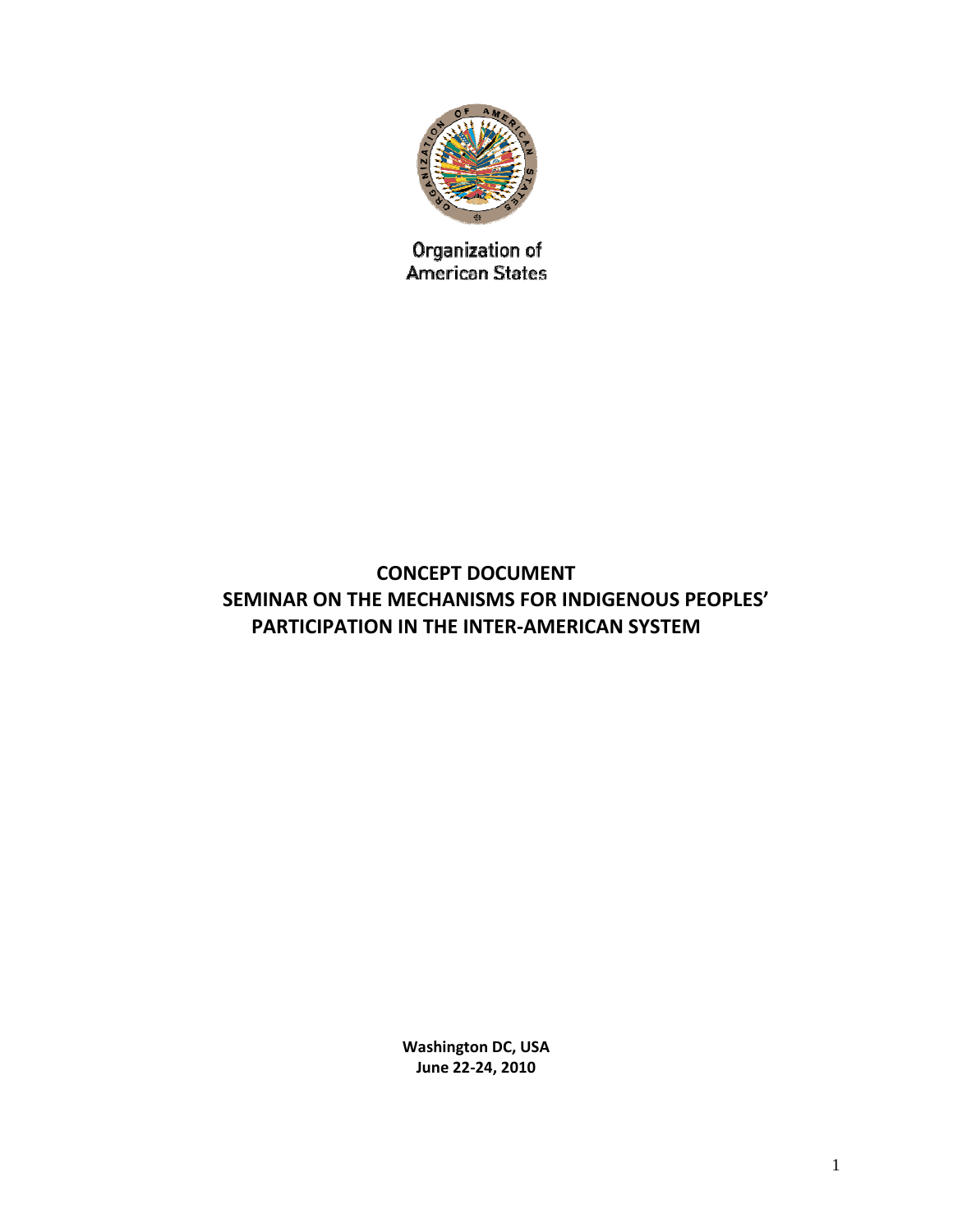

Organization of American States

# **CONCEPT DOCUMENT SEMINAR ON THE MECHANISMS FOR INDIGENOUS PEOPLES' PARTICIPATION IN THE INTER‐AMERICAN SYSTEM**

**Washington DC, USA June 22‐24, 2010**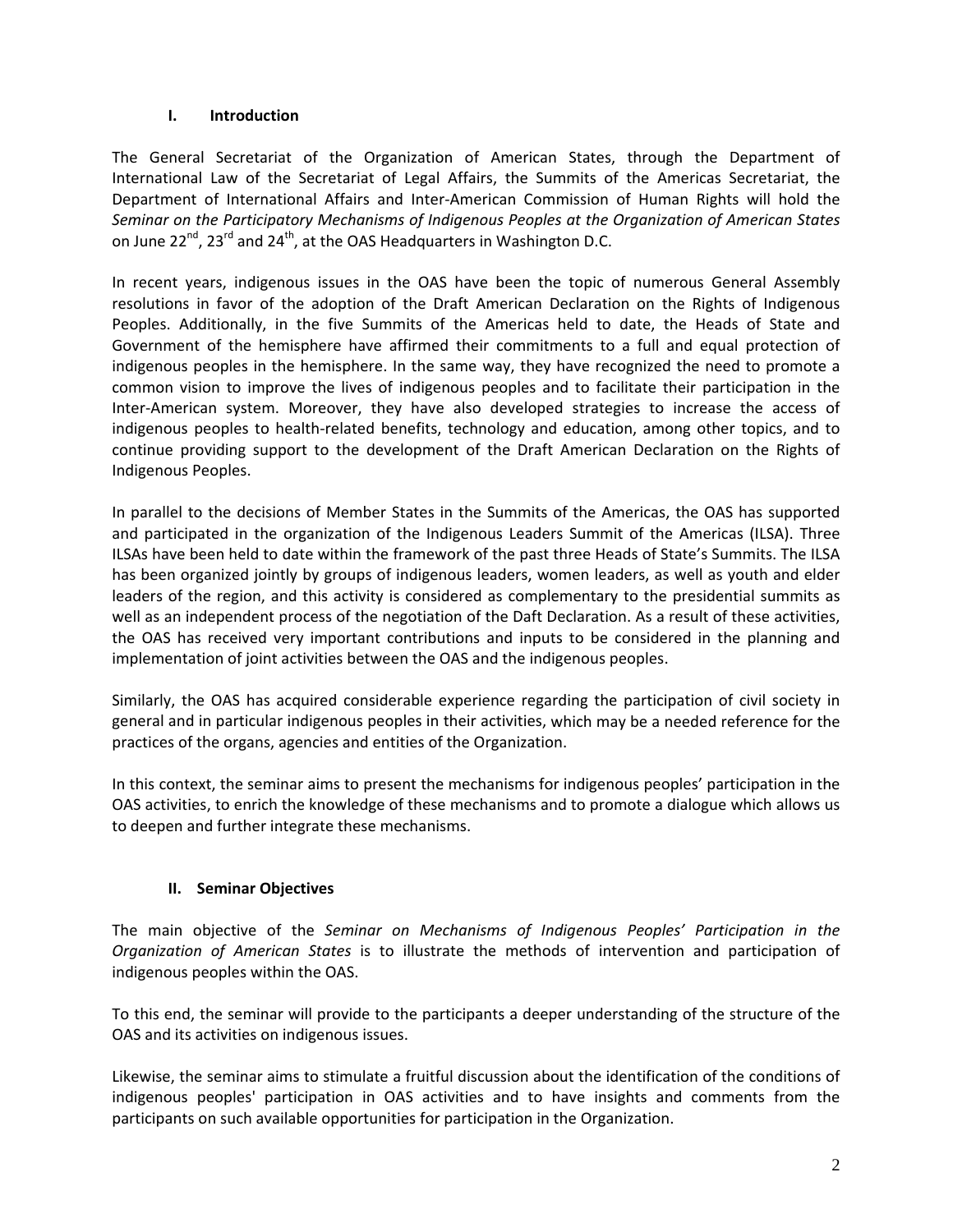#### **I. Introduction**

The General Secretariat of the Organization of American States, through the Department of International Law of the Secretariat of Legal Affairs, the Summits of the Americas Secretariat, the Department of International Affairs and Inter‐American Commission of Human Rights will hold the *Seminar on the Participatory Mechanisms of Indigenous Peoples at the Organization of American States* on June 22 $^{nd}$ , 23 $^{rd}$  and 24 $^{th}$ , at the OAS Headquarters in Washington D.C.

In recent years, indigenous issues in the OAS have been the topic of numerous General Assembly resolutions in favor of the adoption of the Draft American Declaration on the Rights of Indigenous Peoples. Additionally, in the five Summits of the Americas held to date, the Heads of State and Government of the hemisphere have affirmed their commitments to a full and equal protection of indigenous peoples in the hemisphere. In the same way, they have recognized the need to promote a common vision to improve the lives of indigenous peoples and to facilitate their participation in the Inter-American system. Moreover, they have also developed strategies to increase the access of indigenous peoples to health‐related benefits, technology and education, among other topics, and to continue providing support to the development of the Draft American Declaration on the Rights of Indigenous Peoples.

In parallel to the decisions of Member States in the Summits of the Americas, the OAS has supported and participated in the organization of the Indigenous Leaders Summit of the Americas (ILSA). Three ILSAs have been held to date within the framework of the past three Heads of State's Summits. The ILSA has been organized jointly by groups of indigenous leaders, women leaders, as well as youth and elder leaders of the region, and this activity is considered as complementary to the presidential summits as well as an independent process of the negotiation of the Daft Declaration. As a result of these activities, the OAS has received very important contributions and inputs to be considered in the planning and implementation of joint activities between the OAS and the indigenous peoples.

Similarly, the OAS has acquired considerable experience regarding the participation of civil society in general and in particular indigenous peoples in their activities, which may be a needed reference for the practices of the organs, agencies and entities of the Organization.

In this context, the seminar aims to present the mechanisms for indigenous peoples' participation in the OAS activities, to enrich the knowledge of these mechanisms and to promote a dialogue which allows us to deepen and further integrate these mechanisms.

### **II. Seminar Objectives**

The main objective of the *Seminar on Mechanisms of Indigenous Peoples' Participation in the Organization of American States* is to illustrate the methods of intervention and participation of indigenous peoples within the OAS.

To this end, the seminar will provide to the participants a deeper understanding of the structure of the OAS and its activities on indigenous issues.

Likewise, the seminar aims to stimulate a fruitful discussion about the identification of the conditions of indigenous peoples' participation in OAS activities and to have insights and comments from the participants on such available opportunities for participation in the Organization.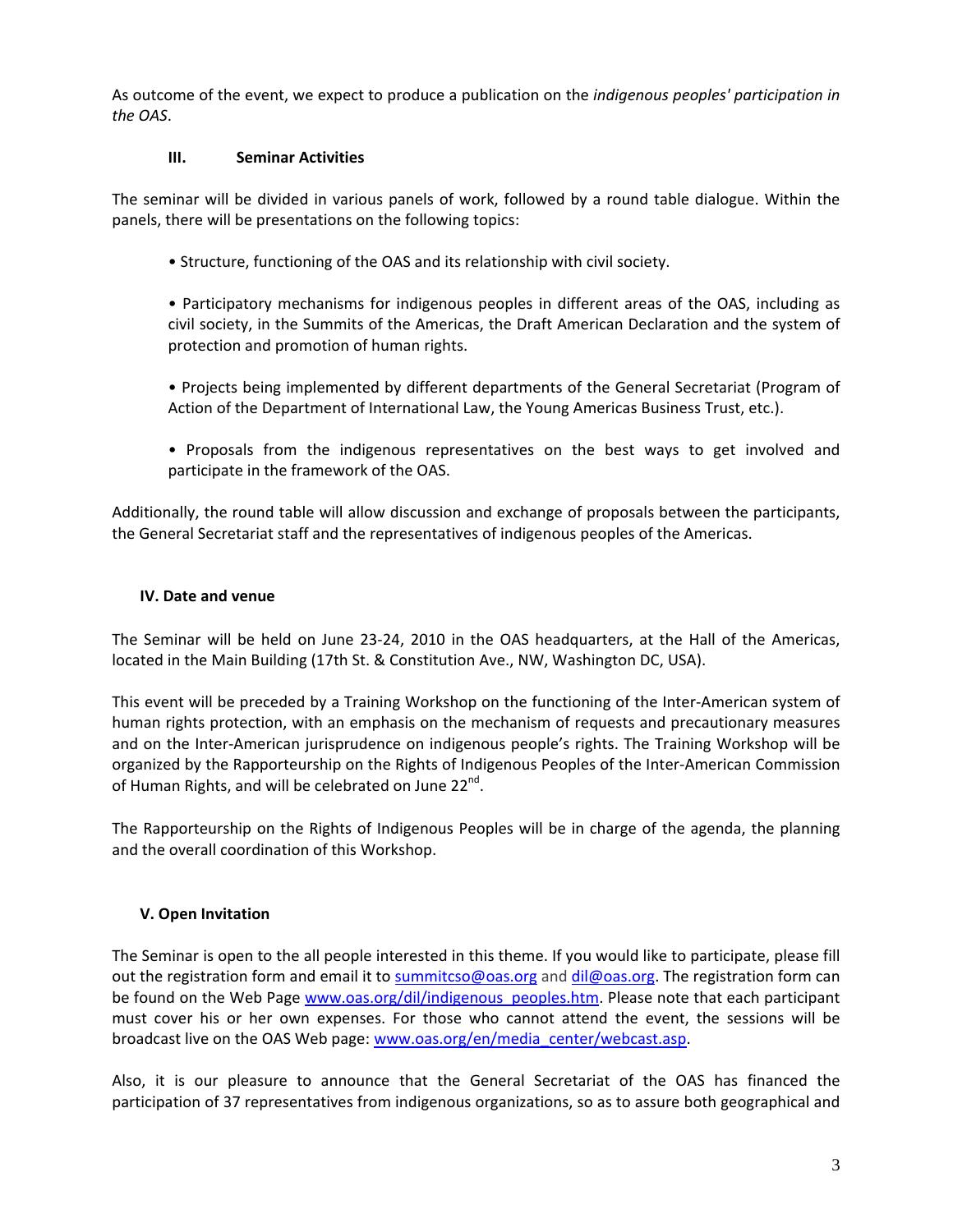As outcome of the event, we expect to produce a publication on the *indigenous peoples' participation in the OAS*.

#### **III. Seminar Activities**

The seminar will be divided in various panels of work, followed by a round table dialogue. Within the panels, there will be presentations on the following topics:

• Structure, functioning of the OAS and its relationship with civil society.

• Participatory mechanisms for indigenous peoples in different areas of the OAS, including as civil society, in the Summits of the Americas, the Draft American Declaration and the system of protection and promotion of human rights.

- Projects being implemented by different departments of the General Secretariat (Program of Action of the Department of International Law, the Young Americas Business Trust, etc.).
- Proposals from the indigenous representatives on the best ways to get involved and participate in the framework of the OAS.

Additionally, the round table will allow discussion and exchange of proposals between the participants, the General Secretariat staff and the representatives of indigenous peoples of the Americas.

#### **IV. Date and venue**

The Seminar will be held on June 23‐24, 2010 in the OAS headquarters, at the Hall of the Americas, located in the Main Building (17th St. & Constitution Ave., NW, Washington DC, USA).

This event will be preceded by a Training Workshop on the functioning of the Inter-American system of human rights protection, with an emphasis on the mechanism of requests and precautionary measures and on the Inter-American jurisprudence on indigenous people's rights. The Training Workshop will be organized by the Rapporteurship on the Rights of Indigenous Peoples of the Inter‐American Commission of Human Rights, and will be celebrated on June 22<sup>nd</sup>.

The Rapporteurship on the Rights of Indigenous Peoples will be in charge of the agenda, the planning and the overall coordination of this Workshop.

### **V. Open Invitation**

The Seminar is open to the all people interested in this theme. If you would like to participate, please fill out the registration form and email it to summitcso@oas.org and dil@oas.org. The registration form can be found on the Web Page www.oas.org/dil/indigenous\_peoples.htm. Please note that each participant must cover his or her own expenses. For those who cannot attend the event, the sessions will be broadcast live on the OAS Web page: www.oas.org/en/media\_center/webcast.asp.

Also, it is our pleasure to announce that the General Secretariat of the OAS has financed the participation of 37 representatives from indigenous organizations, so as to assure both geographical and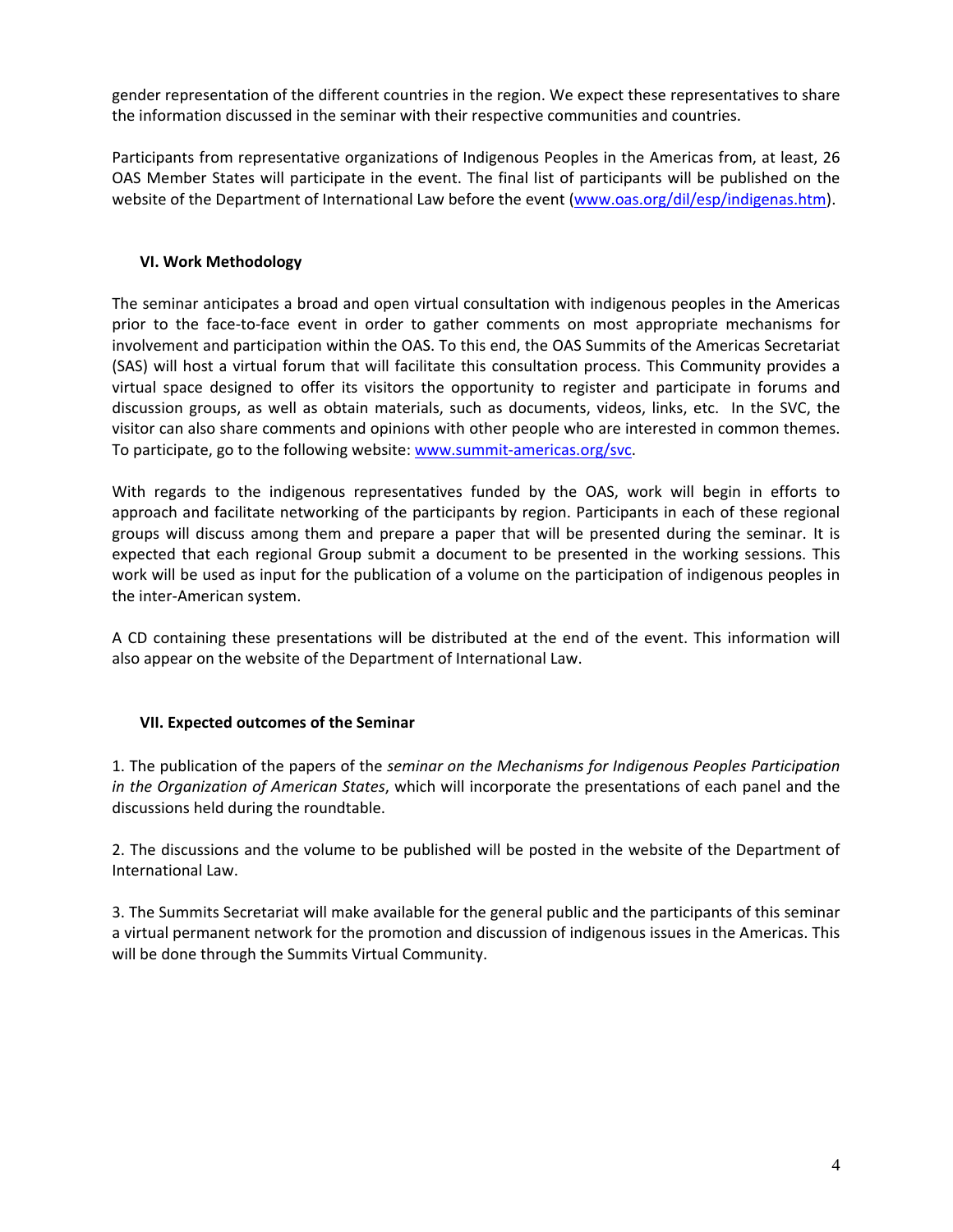gender representation of the different countries in the region. We expect these representatives to share the information discussed in the seminar with their respective communities and countries.

Participants from representative organizations of Indigenous Peoples in the Americas from, at least, 26 OAS Member States will participate in the event. The final list of participants will be published on the website of the Department of International Law before the event (www.oas.org/dil/esp/indigenas.htm).

### **VI. Work Methodology**

The seminar anticipates a broad and open virtual consultation with indigenous peoples in the Americas prior to the face‐to‐face event in order to gather comments on most appropriate mechanisms for involvement and participation within the OAS. To this end, the OAS Summits of the Americas Secretariat (SAS) will host a virtual forum that will facilitate this consultation process. This Community provides a virtual space designed to offer its visitors the opportunity to register and participate in forums and discussion groups, as well as obtain materials, such as documents, videos, links, etc. In the SVC, the visitor can also share comments and opinions with other people who are interested in common themes. To participate, go to the following website: www.summit‐americas.org/svc.

With regards to the indigenous representatives funded by the OAS, work will begin in efforts to approach and facilitate networking of the participants by region. Participants in each of these regional groups will discuss among them and prepare a paper that will be presented during the seminar. It is expected that each regional Group submit a document to be presented in the working sessions. This work will be used as input for the publication of a volume on the participation of indigenous peoples in the inter‐American system.

A CD containing these presentations will be distributed at the end of the event. This information will also appear on the website of the Department of International Law.

#### **VII. Expected outcomes of the Seminar**

1. The publication of the papers of the *seminar on the Mechanisms for Indigenous Peoples Participation in the Organization of American States*, which will incorporate the presentations of each panel and the discussions held during the roundtable.

2. The discussions and the volume to be published will be posted in the website of the Department of International Law.

3. The Summits Secretariat will make available for the general public and the participants of this seminar a virtual permanent network for the promotion and discussion of indigenous issues in the Americas. This will be done through the Summits Virtual Community.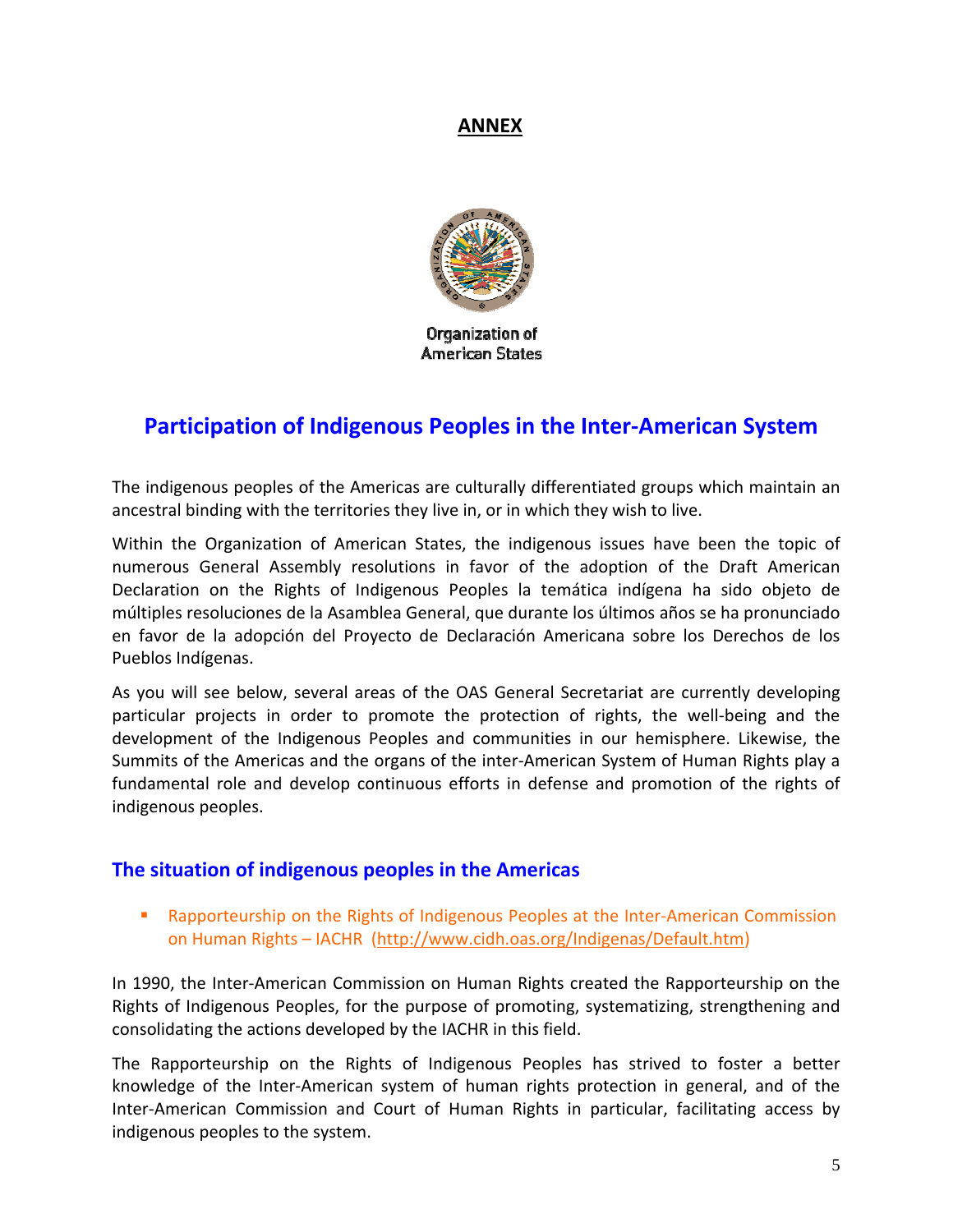## **ANNEX**



Organization of **American States** 

# **Participation of Indigenous Peoples in the Inter‐American System**

The indigenous peoples of the Americas are culturally differentiated groups which maintain an ancestral binding with the territories they live in, or in which they wish to live.

Within the Organization of American States, the indigenous issues have been the topic of numerous General Assembly resolutions in favor of the adoption of the Draft American Declaration on the Rights of Indigenous Peoples la temática indígena ha sido objeto de múltiples resoluciones de la Asamblea General, que durante los últimos años se ha pronunciado en favor de la adopción del Proyecto de Declaración Americana sobre los Derechos de los Pueblos Indígenas.

As you will see below, several areas of the OAS General Secretariat are currently developing particular projects in order to promote the protection of rights, the well‐being and the development of the Indigenous Peoples and communities in our hemisphere. Likewise, the Summits of the Americas and the organs of the inter‐American System of Human Rights play a fundamental role and develop continuous efforts in defense and promotion of the rights of indigenous peoples.

## **The situation of indigenous peoples in the Americas**

■ Rapporteurship on the Rights of Indigenous Peoples at the Inter-American Commission on Human Rights – IACHR (http://www.cidh.oas.org/Indigenas/Default.htm)

In 1990, the Inter-American Commission on Human Rights created the Rapporteurship on the Rights of Indigenous Peoples, for the purpose of promoting, systematizing, strengthening and consolidating the actions developed by the IACHR in this field.

The Rapporteurship on the Rights of Indigenous Peoples has strived to foster a better knowledge of the Inter‐American system of human rights protection in general, and of the Inter‐American Commission and Court of Human Rights in particular, facilitating access by indigenous peoples to the system.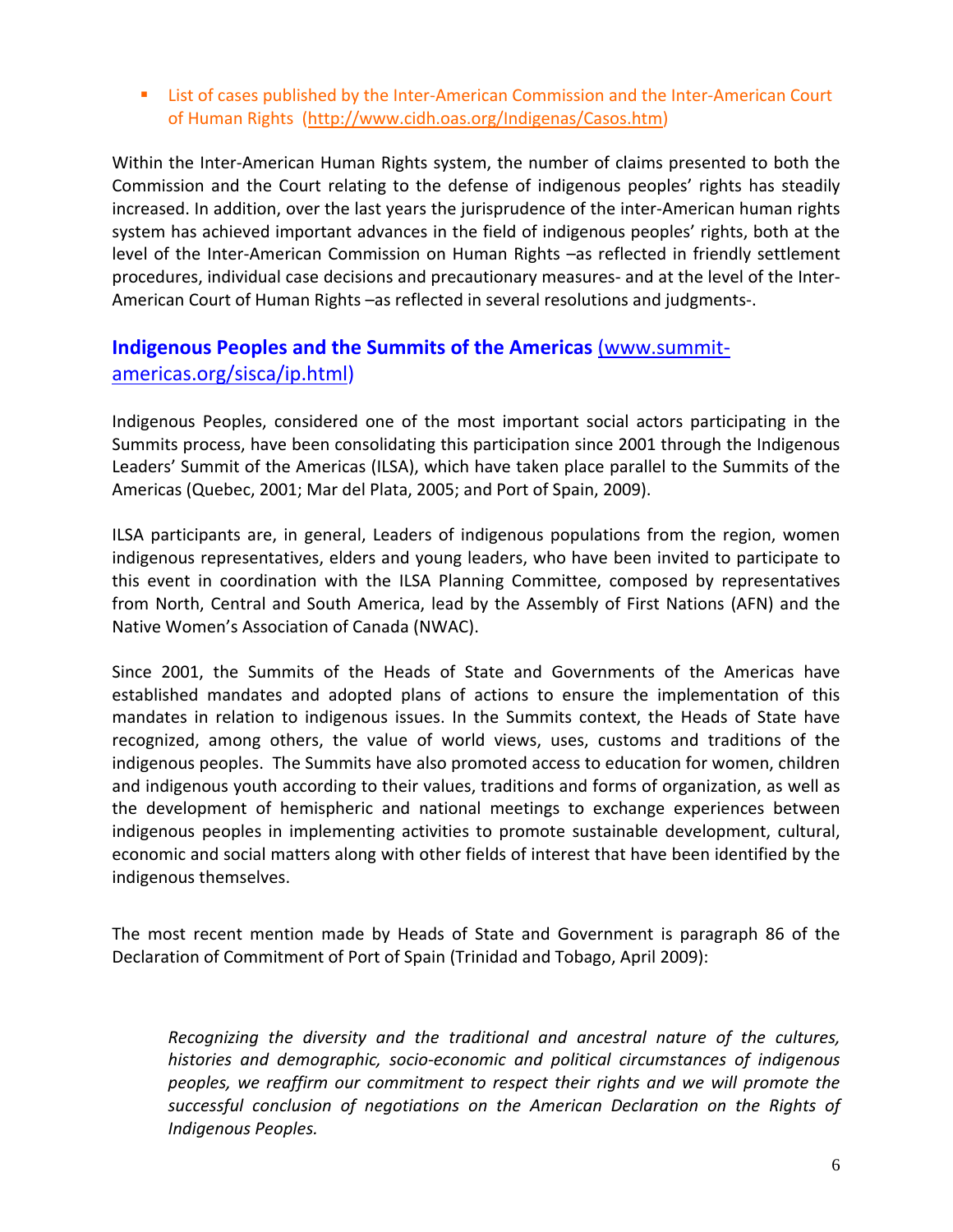■ List of cases published by the Inter-American Commission and the Inter-American Court of Human Rights (http://www.cidh.oas.org/Indigenas/Casos.htm)

Within the Inter‐American Human Rights system, the number of claims presented to both the Commission and the Court relating to the defense of indigenous peoples' rights has steadily increased. In addition, over the last years the jurisprudence of the inter‐American human rights system has achieved important advances in the field of indigenous peoples' rights, both at the level of the Inter-American Commission on Human Rights –as reflected in friendly settlement procedures, individual case decisions and precautionary measures- and at the level of the Inter-American Court of Human Rights –as reflected in several resolutions and judgments‐.

## **Indigenous Peoples and the Summits of the Americas** (www.summit‐ americas.org/sisca/ip.html)

Indigenous Peoples, considered one of the most important social actors participating in the Summits process, have been consolidating this participation since 2001 through the Indigenous Leaders' Summit of the Americas (ILSA), which have taken place parallel to the Summits of the Americas (Quebec, 2001; Mar del Plata, 2005; and Port of Spain, 2009).

ILSA participants are, in general, Leaders of indigenous populations from the region, women indigenous representatives, elders and young leaders, who have been invited to participate to this event in coordination with the ILSA Planning Committee, composed by representatives from North, Central and South America, lead by the Assembly of First Nations (AFN) and the Native Women's Association of Canada (NWAC).

Since 2001, the Summits of the Heads of State and Governments of the Americas have established mandates and adopted plans of actions to ensure the implementation of this mandates in relation to indigenous issues. In the Summits context, the Heads of State have recognized, among others, the value of world views, uses, customs and traditions of the indigenous peoples. The Summits have also promoted access to education for women, children and indigenous youth according to their values, traditions and forms of organization, as well as the development of hemispheric and national meetings to exchange experiences between indigenous peoples in implementing activities to promote sustainable development, cultural, economic and social matters along with other fields of interest that have been identified by the indigenous themselves.

The most recent mention made by Heads of State and Government is paragraph 86 of the Declaration of Commitment of Port of Spain (Trinidad and Tobago, April 2009):

*Recognizing the diversity and the traditional and ancestral nature of the cultures, histories and demographic, socio‐economic and political circumstances of indigenous peoples, we reaffirm our commitment to respect their rights and we will promote the successful conclusion of negotiations on the American Declaration on the Rights of Indigenous Peoples.*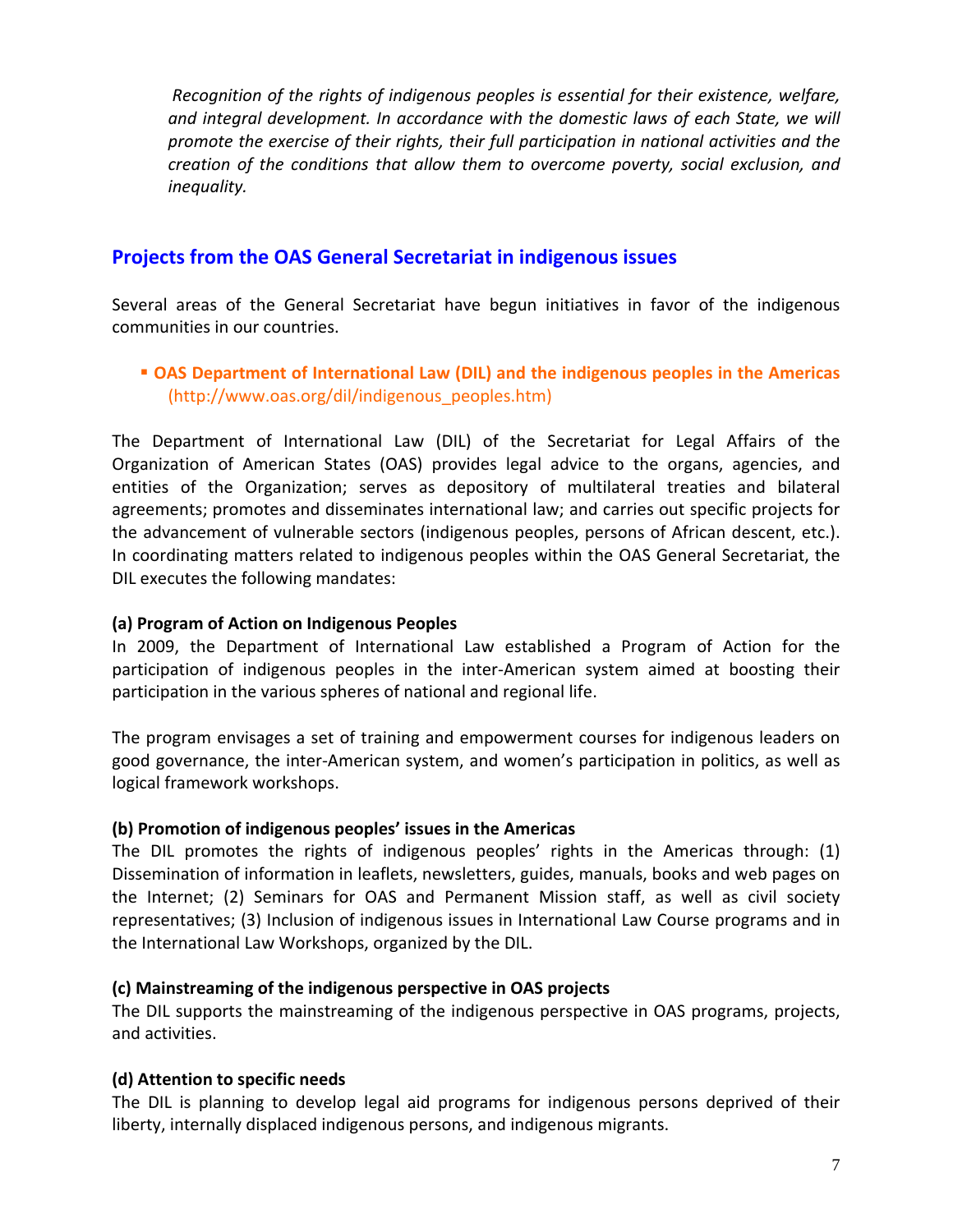*Recognition of the rights of indigenous peoples is essential for their existence, welfare, and integral development. In accordance with the domestic laws of each State, we will promote the exercise of their rights, their full participation in national activities and the creation of the conditions that allow them to overcome poverty, social exclusion, and inequality.*

## **Projects from the OAS General Secretariat in indigenous issues**

Several areas of the General Secretariat have begun initiatives in favor of the indigenous communities in our countries.

### **OAS Department of International Law (DIL) and the indigenous peoples in the Americas** (http://www.oas.org/dil/indigenous\_peoples.htm)

The Department of International Law (DIL) of the Secretariat for Legal Affairs of the Organization of American States (OAS) provides legal advice to the organs, agencies, and entities of the Organization; serves as depository of multilateral treaties and bilateral agreements; promotes and disseminates international law; and carries out specific projects for the advancement of vulnerable sectors (indigenous peoples, persons of African descent, etc.). In coordinating matters related to indigenous peoples within the OAS General Secretariat, the DIL executes the following mandates:

### **(a) Program of Action on Indigenous Peoples**

In 2009, the Department of International Law established a Program of Action for the participation of indigenous peoples in the inter-American system aimed at boosting their participation in the various spheres of national and regional life.

The program envisages a set of training and empowerment courses for indigenous leaders on good governance, the inter‐American system, and women's participation in politics, as well as logical framework workshops.

### **(b) Promotion of indigenous peoples' issues in the Americas**

The DIL promotes the rights of indigenous peoples' rights in the Americas through: (1) Dissemination of information in leaflets, newsletters, guides, manuals, books and web pages on the Internet; (2) Seminars for OAS and Permanent Mission staff, as well as civil society representatives; (3) Inclusion of indigenous issues in International Law Course programs and in the International Law Workshops, organized by the DIL.

### **(c) Mainstreaming of the indigenous perspective in OAS projects**

The DIL supports the mainstreaming of the indigenous perspective in OAS programs, projects, and activities.

### **(d) Attention to specific needs**

The DIL is planning to develop legal aid programs for indigenous persons deprived of their liberty, internally displaced indigenous persons, and indigenous migrants.